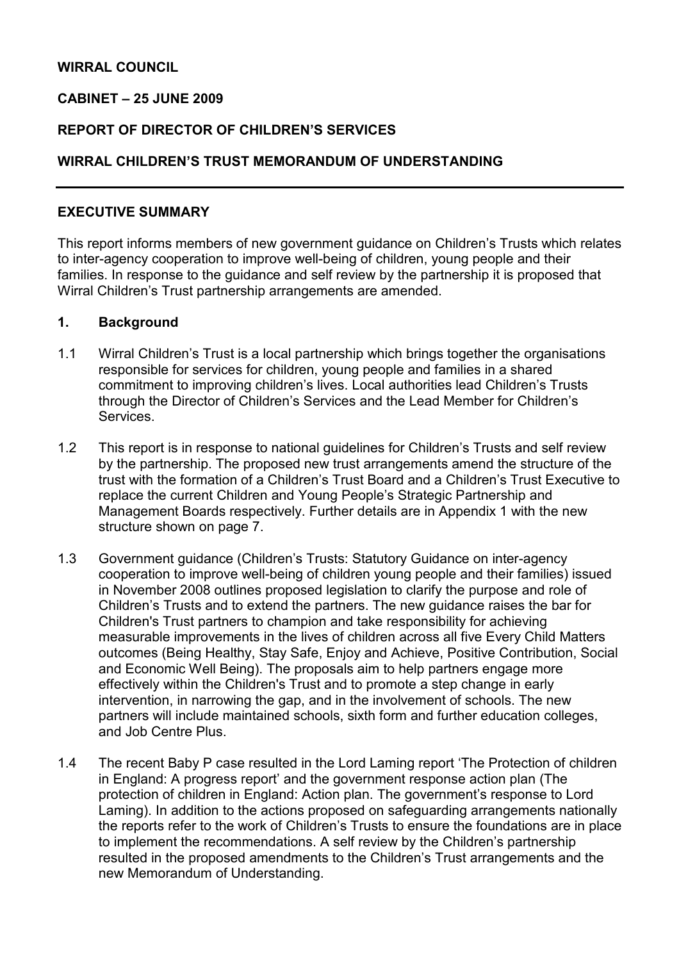# WIRRAL COUNCIL

#### CABINET – 25 JUNE 2009

#### REPORT OF DIRECTOR OF CHILDREN'S SERVICES

## WIRRAL CHILDREN'S TRUST MEMORANDUM OF UNDERSTANDING

#### EXECUTIVE SUMMARY

This report informs members of new government guidance on Children's Trusts which relates to inter-agency cooperation to improve well-being of children, young people and their families. In response to the guidance and self review by the partnership it is proposed that Wirral Children's Trust partnership arrangements are amended.

#### 1. Background

- 1.1 Wirral Children's Trust is a local partnership which brings together the organisations responsible for services for children, young people and families in a shared commitment to improving children's lives. Local authorities lead Children's Trusts through the Director of Children's Services and the Lead Member for Children's Services.
- 1.2 This report is in response to national guidelines for Children's Trusts and self review by the partnership. The proposed new trust arrangements amend the structure of the trust with the formation of a Children's Trust Board and a Children's Trust Executive to replace the current Children and Young People's Strategic Partnership and Management Boards respectively. Further details are in Appendix 1 with the new structure shown on page 7.
- 1.3 Government guidance (Children's Trusts: Statutory Guidance on inter-agency cooperation to improve well-being of children young people and their families) issued in November 2008 outlines proposed legislation to clarify the purpose and role of Children's Trusts and to extend the partners. The new guidance raises the bar for Children's Trust partners to champion and take responsibility for achieving measurable improvements in the lives of children across all five Every Child Matters outcomes (Being Healthy, Stay Safe, Enjoy and Achieve, Positive Contribution, Social and Economic Well Being). The proposals aim to help partners engage more effectively within the Children's Trust and to promote a step change in early intervention, in narrowing the gap, and in the involvement of schools. The new partners will include maintained schools, sixth form and further education colleges, and Job Centre Plus.
- 1.4 The recent Baby P case resulted in the Lord Laming report 'The Protection of children in England: A progress report' and the government response action plan (The protection of children in England: Action plan. The government's response to Lord Laming). In addition to the actions proposed on safeguarding arrangements nationally the reports refer to the work of Children's Trusts to ensure the foundations are in place to implement the recommendations. A self review by the Children's partnership resulted in the proposed amendments to the Children's Trust arrangements and the new Memorandum of Understanding.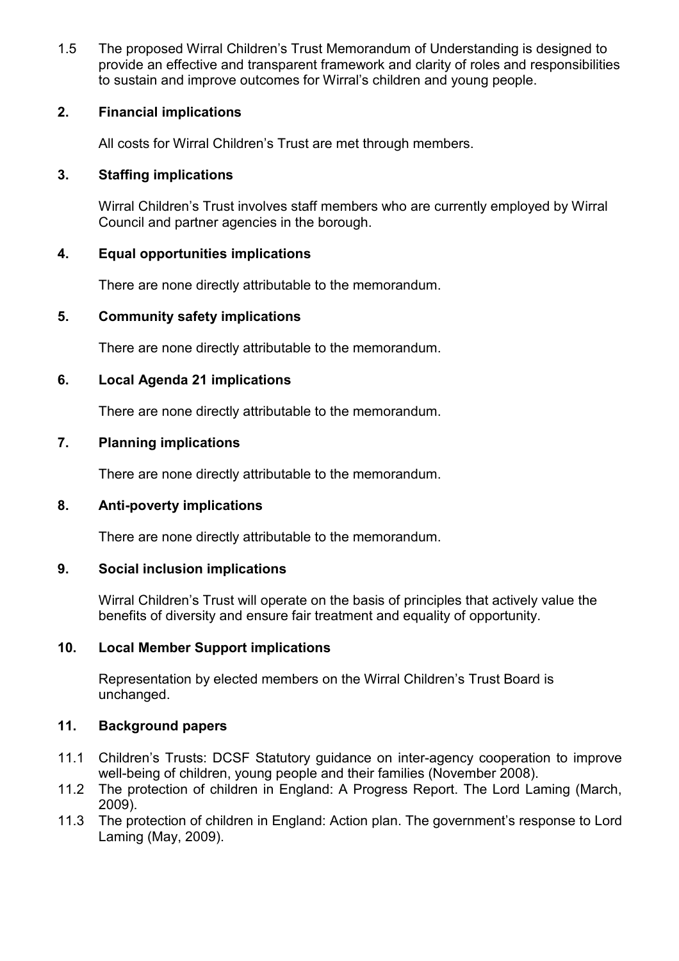1.5 The proposed Wirral Children's Trust Memorandum of Understanding is designed to provide an effective and transparent framework and clarity of roles and responsibilities to sustain and improve outcomes for Wirral's children and young people.

# 2. Financial implications

All costs for Wirral Children's Trust are met through members.

## 3. Staffing implications

Wirral Children's Trust involves staff members who are currently employed by Wirral Council and partner agencies in the borough.

## 4. Equal opportunities implications

There are none directly attributable to the memorandum.

## 5. Community safety implications

There are none directly attributable to the memorandum.

## 6. Local Agenda 21 implications

There are none directly attributable to the memorandum.

## 7. Planning implications

There are none directly attributable to the memorandum.

# 8. Anti-poverty implications

There are none directly attributable to the memorandum.

#### 9. Social inclusion implications

Wirral Children's Trust will operate on the basis of principles that actively value the benefits of diversity and ensure fair treatment and equality of opportunity.

#### 10. Local Member Support implications

Representation by elected members on the Wirral Children's Trust Board is unchanged.

## 11. Background papers

- 11.1 Children's Trusts: DCSF Statutory guidance on inter-agency cooperation to improve well-being of children, young people and their families (November 2008).
- 11.2 The protection of children in England: A Progress Report. The Lord Laming (March, 2009).
- 11.3 The protection of children in England: Action plan. The government's response to Lord Laming (May, 2009).